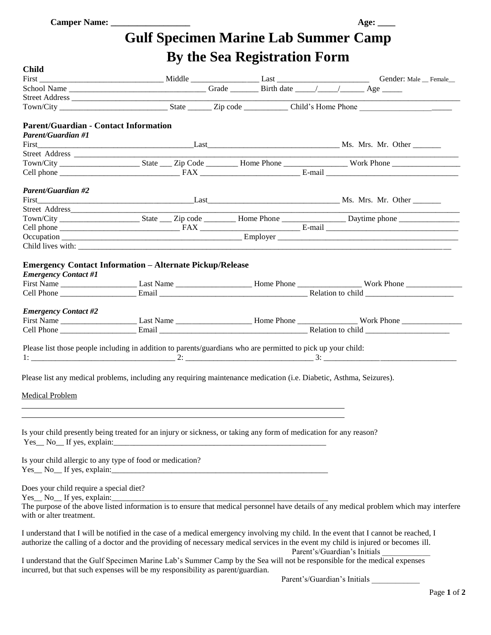## **Gulf Specimen Marine Lab Summer Camp By the Sea Registration Form**

| <b>Child</b>                                                                                                                                                                                                                                                               |                                                     | -------- |  |                              |  |  |  |
|----------------------------------------------------------------------------------------------------------------------------------------------------------------------------------------------------------------------------------------------------------------------------|-----------------------------------------------------|----------|--|------------------------------|--|--|--|
|                                                                                                                                                                                                                                                                            |                                                     |          |  |                              |  |  |  |
|                                                                                                                                                                                                                                                                            | First Conder: Male Conder: Male Conder: Male Female |          |  |                              |  |  |  |
|                                                                                                                                                                                                                                                                            |                                                     |          |  |                              |  |  |  |
|                                                                                                                                                                                                                                                                            |                                                     |          |  |                              |  |  |  |
| <b>Parent/Guardian - Contact Information</b>                                                                                                                                                                                                                               |                                                     |          |  |                              |  |  |  |
| <b>Parent/Guardian #1</b>                                                                                                                                                                                                                                                  |                                                     |          |  |                              |  |  |  |
|                                                                                                                                                                                                                                                                            |                                                     |          |  |                              |  |  |  |
|                                                                                                                                                                                                                                                                            |                                                     |          |  |                              |  |  |  |
|                                                                                                                                                                                                                                                                            |                                                     |          |  |                              |  |  |  |
|                                                                                                                                                                                                                                                                            |                                                     |          |  |                              |  |  |  |
| Parent/Guardian #2                                                                                                                                                                                                                                                         |                                                     |          |  |                              |  |  |  |
|                                                                                                                                                                                                                                                                            |                                                     |          |  |                              |  |  |  |
|                                                                                                                                                                                                                                                                            |                                                     |          |  |                              |  |  |  |
|                                                                                                                                                                                                                                                                            |                                                     |          |  |                              |  |  |  |
|                                                                                                                                                                                                                                                                            |                                                     |          |  |                              |  |  |  |
|                                                                                                                                                                                                                                                                            |                                                     |          |  |                              |  |  |  |
|                                                                                                                                                                                                                                                                            |                                                     |          |  |                              |  |  |  |
| <b>Emergency Contact Information - Alternate Pickup/Release</b><br><b>Emergency Contact #1</b>                                                                                                                                                                             |                                                     |          |  |                              |  |  |  |
|                                                                                                                                                                                                                                                                            |                                                     |          |  |                              |  |  |  |
| <b>Emergency Contact #2</b>                                                                                                                                                                                                                                                |                                                     |          |  |                              |  |  |  |
|                                                                                                                                                                                                                                                                            |                                                     |          |  |                              |  |  |  |
| Please list those people including in addition to parents/guardians who are permitted to pick up your child:                                                                                                                                                               |                                                     |          |  |                              |  |  |  |
| Please list any medical problems, including any requiring maintenance medication (i.e. Diabetic, Asthma, Seizures).                                                                                                                                                        |                                                     |          |  |                              |  |  |  |
| <b>Medical Problem</b>                                                                                                                                                                                                                                                     |                                                     |          |  |                              |  |  |  |
|                                                                                                                                                                                                                                                                            |                                                     |          |  |                              |  |  |  |
| Is your child presently being treated for an injury or sickness, or taking any form of medication for any reason?                                                                                                                                                          |                                                     |          |  |                              |  |  |  |
| Is your child allergic to any type of food or medication?<br>$Yes_ No_ If yes, explain:$                                                                                                                                                                                   |                                                     |          |  |                              |  |  |  |
| Does your child require a special diet?<br>Yes No If yes, explain:<br>The purpose of the above listed information is to ensure that medical personnel have details of any medical problem which may interfere<br>with or alter treatment.                                  |                                                     |          |  |                              |  |  |  |
| I understand that I will be notified in the case of a medical emergency involving my child. In the event that I cannot be reached, I<br>authorize the calling of a doctor and the providing of necessary medical services in the event my child is injured or becomes ill. |                                                     |          |  | Parent's/Guardian's Initials |  |  |  |
| I understand that the Gulf Specimen Marine Lab's Summer Camp by the Sea will not be responsible for the medical expenses<br>incurred, but that such expenses will be my responsibility as parent/guardian.                                                                 |                                                     |          |  |                              |  |  |  |

Parent's/Guardian's Initials